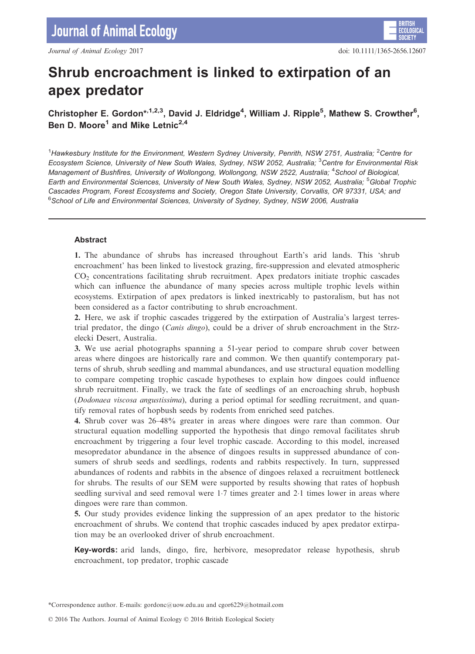# Shrub encroachment is linked to extirpation of an apex predator

## Christopher E. Gordon\*,<sup>1,2,3</sup>, David J. Eldridge<sup>4</sup>, William J. Ripple<sup>5</sup>, Mathew S. Crowther<sup>6</sup>, Ben D. Moore<sup>1</sup> and Mike Letnic<sup>2,4</sup>

<sup>1</sup>Hawkesbury Institute for the Environment, Western Sydney University, Penrith, NSW 2751, Australia; <sup>2</sup>Centre for Ecosystem Science, University of New South Wales, Sydney, NSW 2052, Australia; <sup>3</sup>Centre for Environmental Risk Management of Bushfires, University of Wollongong, Wollongong, NSW 2522, Australia; <sup>4</sup>School of Biological, Earth and Environmental Sciences, University of New South Wales, Sydney, NSW 2052, Australia; <sup>5</sup>Global Trophic Cascades Program, Forest Ecosystems and Society, Oregon State University, Corvallis, OR 97331, USA; and 6 School of Life and Environmental Sciences, University of Sydney, Sydney, NSW 2006, Australia

## Abstract

1. The abundance of shrubs has increased throughout Earth's arid lands. This 'shrub encroachment' has been linked to livestock grazing, fire-suppression and elevated atmospheric CO2 concentrations facilitating shrub recruitment. Apex predators initiate trophic cascades which can influence the abundance of many species across multiple trophic levels within ecosystems. Extirpation of apex predators is linked inextricably to pastoralism, but has not been considered as a factor contributing to shrub encroachment.

2. Here, we ask if trophic cascades triggered by the extirpation of Australia's largest terrestrial predator, the dingo (*Canis dingo*), could be a driver of shrub encroachment in the Strzelecki Desert, Australia.

3. We use aerial photographs spanning a 51-year period to compare shrub cover between areas where dingoes are historically rare and common. We then quantify contemporary patterns of shrub, shrub seedling and mammal abundances, and use structural equation modelling to compare competing trophic cascade hypotheses to explain how dingoes could influence shrub recruitment. Finally, we track the fate of seedlings of an encroaching shrub, hopbush (Dodonaea viscosa angustissima), during a period optimal for seedling recruitment, and quantify removal rates of hopbush seeds by rodents from enriched seed patches.

4. Shrub cover was 26–48% greater in areas where dingoes were rare than common. Our structural equation modelling supported the hypothesis that dingo removal facilitates shrub encroachment by triggering a four level trophic cascade. According to this model, increased mesopredator abundance in the absence of dingoes results in suppressed abundance of consumers of shrub seeds and seedlings, rodents and rabbits respectively. In turn, suppressed abundances of rodents and rabbits in the absence of dingoes relaxed a recruitment bottleneck for shrubs. The results of our SEM were supported by results showing that rates of hopbush seedling survival and seed removal were 17 times greater and 21 times lower in areas where dingoes were rare than common.

5. Our study provides evidence linking the suppression of an apex predator to the historic encroachment of shrubs. We contend that trophic cascades induced by apex predator extirpation may be an overlooked driver of shrub encroachment.

Key-words: arid lands, dingo, fire, herbivore, mesopredator release hypothesis, shrub encroachment, top predator, trophic cascade

\*Correspondence author. E-mails: gordonc@uow.edu.au and cgor6229@hotmail.com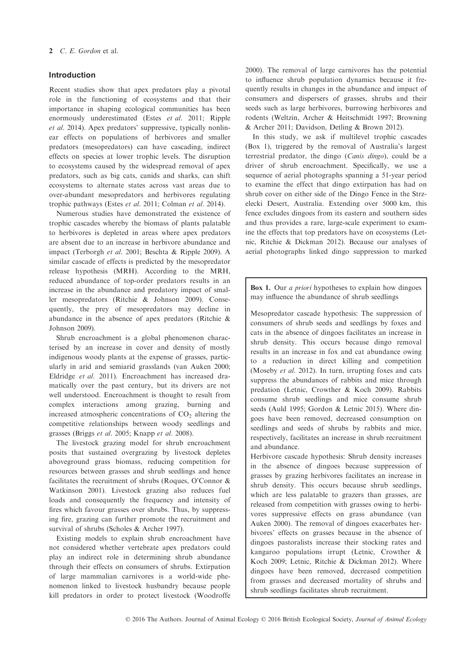#### Introduction

Recent studies show that apex predators play a pivotal role in the functioning of ecosystems and that their importance in shaping ecological communities has been enormously underestimated (Estes et al. 2011; Ripple et al. 2014). Apex predators' suppressive, typically nonlinear effects on populations of herbivores and smaller predators (mesopredators) can have cascading, indirect effects on species at lower trophic levels. The disruption to ecosystems caused by the widespread removal of apex predators, such as big cats, canids and sharks, can shift ecosystems to alternate states across vast areas due to over-abundant mesopredators and herbivores regulating trophic pathways (Estes et al. 2011; Colman et al. 2014).

Numerous studies have demonstrated the existence of trophic cascades whereby the biomass of plants palatable to herbivores is depleted in areas where apex predators are absent due to an increase in herbivore abundance and impact (Terborgh et al. 2001; Beschta & Ripple 2009). A similar cascade of effects is predicted by the mesopredator release hypothesis (MRH). According to the MRH, reduced abundance of top-order predators results in an increase in the abundance and predatory impact of smaller mesopredators (Ritchie & Johnson 2009). Consequently, the prey of mesopredators may decline in abundance in the absence of apex predators (Ritchie & Johnson 2009).

Shrub encroachment is a global phenomenon characterised by an increase in cover and density of mostly indigenous woody plants at the expense of grasses, particularly in arid and semiarid grasslands (van Auken 2000; Eldridge et al. 2011). Encroachment has increased dramatically over the past century, but its drivers are not well understood. Encroachment is thought to result from complex interactions among grazing, burning and increased atmospheric concentrations of  $CO<sub>2</sub>$  altering the competitive relationships between woody seedlings and grasses (Briggs et al. 2005; Knapp et al. 2008).

The livestock grazing model for shrub encroachment posits that sustained overgrazing by livestock depletes aboveground grass biomass, reducing competition for resources between grasses and shrub seedlings and hence facilitates the recruitment of shrubs (Roques, O'Connor & Watkinson 2001). Livestock grazing also reduces fuel loads and consequently the frequency and intensity of fires which favour grasses over shrubs. Thus, by suppressing fire, grazing can further promote the recruitment and survival of shrubs (Scholes & Archer 1997).

Existing models to explain shrub encroachment have not considered whether vertebrate apex predators could play an indirect role in determining shrub abundance through their effects on consumers of shrubs. Extirpation of large mammalian carnivores is a world-wide phenomenon linked to livestock husbandry because people kill predators in order to protect livestock (Woodroffe 2000). The removal of large carnivores has the potential to influence shrub population dynamics because it frequently results in changes in the abundance and impact of consumers and dispersers of grasses, shrubs and their seeds such as large herbivores, burrowing herbivores and rodents (Weltzin, Archer & Heitschmidt 1997; Browning & Archer 2011; Davidson, Detling & Brown 2012).

In this study, we ask if multilevel trophic cascades (Box 1), triggered by the removal of Australia's largest terrestrial predator, the dingo (Canis dingo), could be a driver of shrub encroachment. Specifically, we use a sequence of aerial photographs spanning a 51-year period to examine the effect that dingo extirpation has had on shrub cover on either side of the Dingo Fence in the Strzelecki Desert, Australia. Extending over 5000 km, this fence excludes dingoes from its eastern and southern sides and thus provides a rare, large-scale experiment to examine the effects that top predators have on ecosystems (Letnic, Ritchie & Dickman 2012). Because our analyses of aerial photographs linked dingo suppression to marked

Box 1. Our *a priori* hypotheses to explain how dingoes may influence the abundance of shrub seedlings

Mesopredator cascade hypothesis: The suppression of consumers of shrub seeds and seedlings by foxes and cats in the absence of dingoes facilitates an increase in shrub density. This occurs because dingo removal results in an increase in fox and cat abundance owing to a reduction in direct killing and competition (Moseby et al. 2012). In turn, irrupting foxes and cats suppress the abundances of rabbits and mice through predation (Letnic, Crowther & Koch 2009). Rabbits consume shrub seedlings and mice consume shrub seeds (Auld 1995; Gordon & Letnic 2015). Where dingoes have been removed, decreased consumption on seedlings and seeds of shrubs by rabbits and mice, respectively, facilitates an increase in shrub recruitment and abundance.

Herbivore cascade hypothesis: Shrub density increases in the absence of dingoes because suppression of grasses by grazing herbivores facilitates an increase in shrub density. This occurs because shrub seedlings, which are less palatable to grazers than grasses, are released from competition with grasses owing to herbivores suppressive effects on grass abundance (van Auken 2000). The removal of dingoes exacerbates herbivores' effects on grasses because in the absence of dingoes pastoralists increase their stocking rates and kangaroo populations irrupt (Letnic, Crowther & Koch 2009; Letnic, Ritchie & Dickman 2012). Where dingoes have been removed, decreased competition from grasses and decreased mortality of shrubs and shrub seedlings facilitates shrub recruitment.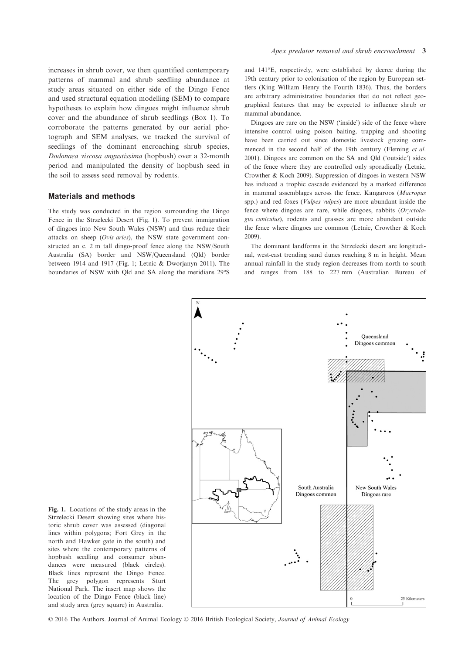increases in shrub cover, we then quantified contemporary patterns of mammal and shrub seedling abundance at study areas situated on either side of the Dingo Fence and used structural equation modelling (SEM) to compare hypotheses to explain how dingoes might influence shrub cover and the abundance of shrub seedlings (Box 1). To corroborate the patterns generated by our aerial photograph and SEM analyses, we tracked the survival of seedlings of the dominant encroaching shrub species, Dodonaea viscosa angustissima (hopbush) over a 32-month period and manipulated the density of hopbush seed in the soil to assess seed removal by rodents.

## Materials and methods

The study was conducted in the region surrounding the Dingo Fence in the Strzelecki Desert (Fig. 1). To prevent immigration of dingoes into New South Wales (NSW) and thus reduce their attacks on sheep (Ovis aries), the NSW state government constructed an c. 2 m tall dingo-proof fence along the NSW/South Australia (SA) border and NSW/Queensland (Qld) border between 1914 and 1917 (Fig. 1; Letnic & Dworjanyn 2011). The boundaries of NSW with Qld and SA along the meridians 29°S and 141°E, respectively, were established by decree during the 19th century prior to colonisation of the region by European settlers (King William Henry the Fourth 1836). Thus, the borders are arbitrary administrative boundaries that do not reflect geographical features that may be expected to influence shrub or mammal abundance.

Dingoes are rare on the NSW ('inside') side of the fence where intensive control using poison baiting, trapping and shooting have been carried out since domestic livestock grazing commenced in the second half of the 19th century (Fleming et al. 2001). Dingoes are common on the SA and Qld ('outside') sides of the fence where they are controlled only sporadically (Letnic, Crowther & Koch 2009). Suppression of dingoes in western NSW has induced a trophic cascade evidenced by a marked difference in mammal assemblages across the fence. Kangaroos (Macropus spp.) and red foxes (Vulpes vulpes) are more abundant inside the fence where dingoes are rare, while dingoes, rabbits (Oryctolagus cuniculus), rodents and grasses are more abundant outside the fence where dingoes are common (Letnic, Crowther & Koch 2009).

The dominant landforms in the Strzelecki desert are longitudinal, west-east trending sand dunes reaching 8 m in height. Mean annual rainfall in the study region decreases from north to south and ranges from 188 to 227 mm (Australian Bureau of



Fig. 1. Locations of the study areas in the Strzelecki Desert showing sites where historic shrub cover was assessed (diagonal lines within polygons; Fort Grey in the north and Hawker gate in the south) and sites where the contemporary patterns of hopbush seedling and consumer abundances were measured (black circles). Black lines represent the Dingo Fence. The grey polygon represents Sturt National Park. The insert map shows the location of the Dingo Fence (black line) and study area (grey square) in Australia.

© 2016 The Authors. Journal of Animal Ecology © 2016 British Ecological Society, Journal of Animal Ecology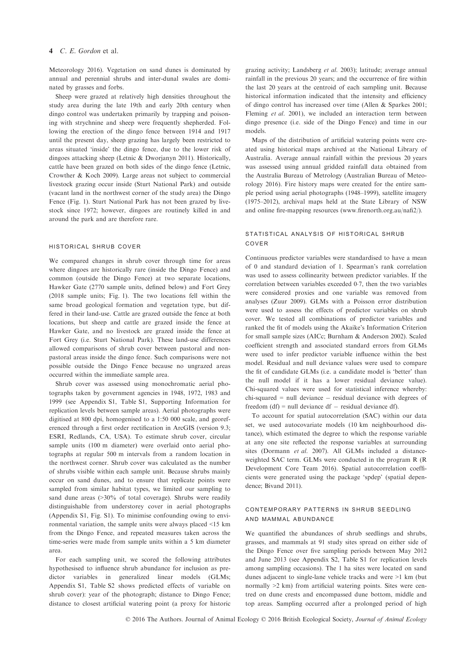#### 4 C. E. Gordon et al.

Meteorology 2016). Vegetation on sand dunes is dominated by annual and perennial shrubs and inter-dunal swales are dominated by grasses and forbs.

Sheep were grazed at relatively high densities throughout the study area during the late 19th and early 20th century when dingo control was undertaken primarily by trapping and poisoning with strychnine and sheep were frequently shepherded. Following the erection of the dingo fence between 1914 and 1917 until the present day, sheep grazing has largely been restricted to areas situated 'inside' the dingo fence, due to the lower risk of dingoes attacking sheep (Letnic & Dworjanyn 2011). Historically, cattle have been grazed on both sides of the dingo fence (Letnic, Crowther & Koch 2009). Large areas not subject to commercial livestock grazing occur inside (Sturt National Park) and outside (vacant land in the northwest corner of the study area) the Dingo Fence (Fig. 1). Sturt National Park has not been grazed by livestock since 1972; however, dingoes are routinely killed in and around the park and are therefore rare.

#### historical shrub cover

We compared changes in shrub cover through time for areas where dingoes are historically rare (inside the Dingo Fence) and common (outside the Dingo Fence) at two separate locations, Hawker Gate (2770 sample units, defined below) and Fort Grey (2018 sample units; Fig. 1). The two locations fell within the same broad geological formation and vegetation type, but differed in their land-use. Cattle are grazed outside the fence at both locations, but sheep and cattle are grazed inside the fence at Hawker Gate, and no livestock are grazed inside the fence at Fort Grey (i.e. Sturt National Park). These land-use differences allowed comparisons of shrub cover between pastoral and nonpastoral areas inside the dingo fence. Such comparisons were not possible outside the Dingo Fence because no ungrazed areas occurred within the immediate sample area.

Shrub cover was assessed using monochromatic aerial photographs taken by government agencies in 1948, 1972, 1983 and 1999 (see Appendix S1, Table S1, Supporting Information for replication levels between sample areas). Aerial photographs were digitised at 800 dpi, homogenised to a 1:50 000 scale, and georeferenced through a first order rectification in ArcGIS (version 9.3; ESRI, Redlands, CA, USA). To estimate shrub cover, circular sample units (100 m diameter) were overlaid onto aerial photographs at regular 500 m intervals from a random location in the northwest corner. Shrub cover was calculated as the number of shrubs visible within each sample unit. Because shrubs mainly occur on sand dunes, and to ensure that replicate points were sampled from similar habitat types, we limited our sampling to sand dune areas (>30% of total coverage). Shrubs were readily distinguishable from understorey cover in aerial photographs (Appendix S1, Fig. S1). To minimise confounding owing to environmental variation, the sample units were always placed <15 km from the Dingo Fence, and repeated measures taken across the time-series were made from sample units within a 5 km diameter area.

For each sampling unit, we scored the following attributes hypothesised to influence shrub abundance for inclusion as predictor variables in generalized linear models (GLMs; Appendix S1, Table S2 shows predicted effects of variable on shrub cover): year of the photograph; distance to Dingo Fence; distance to closest artificial watering point (a proxy for historic

grazing activity; Landsberg et al. 2003); latitude; average annual rainfall in the previous 20 years; and the occurrence of fire within the last 20 years at the centroid of each sampling unit. Because historical information indicated that the intensity and efficiency of dingo control has increased over time (Allen & Sparkes 2001; Fleming et al. 2001), we included an interaction term between dingo presence (i.e. side of the Dingo Fence) and time in our models.

Maps of the distribution of artificial watering points were created using historical maps archived at the National Library of Australia. Average annual rainfall within the previous 20 years was assessed using annual gridded rainfall data obtained from the Australia Bureau of Metrology (Australian Bureau of Meteorology 2016). Fire history maps were created for the entire sample period using aerial photographs (1948–1999), satellite imagery (1975–2012), archival maps held at the State Library of NSW and online fire-mapping resources [\(www.firenorth.org.au/nafi2/\)](http://www.firenorth.org.au/nafi2/).

#### statistical analysis of historical shrub cover

Continuous predictor variables were standardised to have a mean of 0 and standard deviation of 1. Spearman's rank correlation was used to assess collinearity between predictor variables. If the correlation between variables exceeded 07, then the two variables were considered proxies and one variable was removed from analyses (Zuur 2009). GLMs with a Poisson error distribution were used to assess the effects of predictor variables on shrub cover. We tested all combinations of predictor variables and ranked the fit of models using the Akaike's Information Criterion for small sample sizes (AICc; Burnham & Anderson 2002). Scaled coefficient strength and associated standard errors from GLMs were used to infer predictor variable influence within the best model. Residual and null deviance values were used to compare the fit of candidate GLMs (i.e. a candidate model is 'better' than the null model if it has a lower residual deviance value). Chi-squared values were used for statistical inference whereby:  $chi$ -squared = null deviance  $-$  residual deviance with degrees of freedom (df) = null deviance df  $-$  residual deviance df).

To account for spatial autocorrelation (SAC) within our data set, we used autocovariate models (10 km neighbourhood distance), which estimated the degree to which the response variable at any one site reflected the response variables at surrounding sites (Dormann et al. 2007). All GLMs included a distanceweighted SAC term. GLMs were conducted in the program R (R Development Core Team 2016). Spatial autocorrelation coefficients were generated using the package 'spdep' (spatial dependence; Bivand 2011).

#### contemporary patterns in shrub seedling and mammal abundance

We quantified the abundances of shrub seedlings and shrubs, grasses, and mammals at 91 study sites spread on either side of the Dingo Fence over five sampling periods between May 2012 and June 2013 (see Appendix S2, Table S1 for replication levels among sampling occasions). The 1 ha sites were located on sand dunes adjacent to single-lane vehicle tracks and were >1 km (but normally >2 km) from artificial watering points. Sites were centred on dune crests and encompassed dune bottom, middle and top areas. Sampling occurred after a prolonged period of high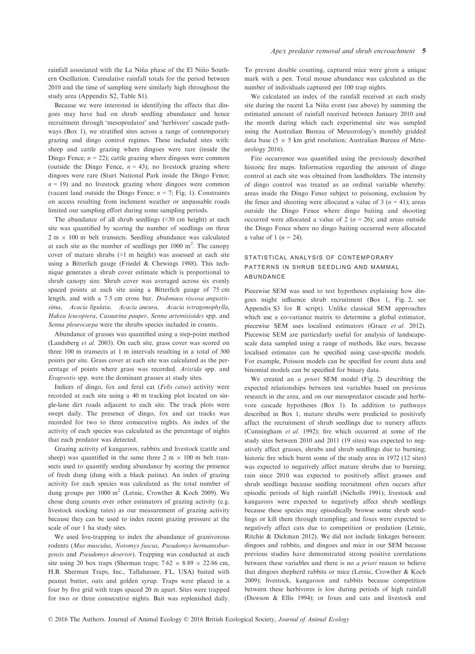rainfall associated with the La Niña phase of the El Niño Southern Oscillation. Cumulative rainfall totals for the period between 2010 and the time of sampling were similarly high throughout the study area (Appendix S2, Table S1).

Because we were interested in identifying the effects that dingoes may have had on shrub seedling abundance and hence recruitment through 'mesopredator' and 'herbivore' cascade pathways (Box 1), we stratified sites across a range of contemporary grazing and dingo control regimes. These included sites with: sheep and cattle grazing where dingoes were rare (inside the Dingo Fence;  $n = 22$ ); cattle grazing where dingoes were common (outside the Dingo Fence,  $n = 43$ ); no livestock grazing where dingoes were rare (Sturt National Park inside the Dingo Fence;  $n = 19$ ) and no livestock grazing where dingoes were common (vacant land outside the Dingo Fence;  $n = 7$ ; Fig. 1). Constraints on access resulting from inclement weather or unpassable roads limited our sampling effort during some sampling periods.

The abundance of all shrub seedlings (<30 cm height) at each site was quantified by scoring the number of seedlings on three  $2 m \times 100 m$  belt transects. Seedling abundance was calculated at each site as the number of seedlings per  $1000 \text{ m}^2$ . The canopy cover of mature shrubs (>1 m height) was assessed at each site using a Bitterlich gauge (Friedel & Chewings 1988). This technique generates a shrub cover estimate which is proportional to shrub canopy size. Shrub cover was averaged across six evenly spaced points at each site using a Bitterlich gauge of 75 cm length, and with a 7.5 cm cross bar. Dodonaea viscosa angustissima, Acacia ligulata, Acacia aneura, Acacia tetragonophylla, Hakea leucoptera, Casuarina pauper, Senna artemisioides spp. and Senna pleurocarpa were the shrubs species included in counts.

Abundance of grasses was quantified using a step-point method (Landsberg et al. 2003). On each site, grass cover was scored on three 100 m transects at 1 m intervals resulting in a total of 300 points per site. Grass cover at each site was calculated as the percentage of points where grass was recorded. Aristida spp. and Eragrostis spp. were the dominant grasses at study sites.

Indices of dingo, fox and feral cat (Felis catus) activity were recorded at each site using a 40 m tracking plot located on single-lane dirt roads adjacent to each site. The track plots were swept daily. The presence of dingo, fox and cat tracks was recorded for two to three consecutive nights. An index of the activity of each species was calculated as the percentage of nights that each predator was detected.

Grazing activity of kangaroos, rabbits and livestock (cattle and sheep) was quantified in the same three  $2 \text{ m} \times 100 \text{ m}$  belt transects used to quantify seeding abundance by scoring the presence of fresh dung (dung with a black patina). An index of grazing activity for each species was calculated as the total number of dung groups per  $1000 \text{ m}^2$  (Letnic, Crowther & Koch 2009). We chose dung counts over other estimators of grazing activity (e.g. livestock stocking rates) as our measurement of grazing activity because they can be used to index recent grazing pressure at the scale of our 1 ha study sites.

We used live-trapping to index the abundance of granivorous rodents (Mus musculus, Notomys fuscus, Pseudomys hermannsburgensis and Pseudomys desertor). Trapping was conducted at each site using 20 box traps (Sherman traps;  $7.62 \times 8.89 \times 22.86$  cm, H.B. Sherman Traps, Inc., Tallahassee, FL, USA) baited with peanut butter, oats and golden syrup. Traps were placed in a four by five grid with traps spaced 20 m apart. Sites were trapped for two or three consecutive nights. Bait was replenished daily. To prevent double counting, captured mice were given a unique mark with a pen. Total mouse abundance was calculated as the number of individuals captured per 100 trap nights.

We calculated an index of the rainfall received at each study site during the recent La Niña event (see above) by summing the estimated amount of rainfall received between January 2010 and the month during which each experimental site was sampled using the Australian Bureau of Meteorology's monthly gridded data base (5  $\times$  5 km grid resolution; Australian Bureau of Meteorology 2016).

Fire occurrence was quantified using the previously described historic fire maps. Information regarding the amount of dingo control at each site was obtained from landholders. The intensity of dingo control was treated as an ordinal variable whereby: areas inside the Dingo Fence subject to poisoning, exclusion by the fence and shooting were allocated a value of 3 ( $n = 41$ ); areas outside the Dingo Fence where dingo baiting and shooting occurred were allocated a value of 2 ( $n = 26$ ); and areas outside the Dingo Fence where no dingo baiting occurred were allocated a value of 1 ( $n = 24$ ).

## STATISTICAL ANALYSIS OF CONTEMPORARY patterns in shrub seedling and mammal abundance

Piecewise SEM was used to test hypotheses explaining how dingoes might influence shrub recruitment (Box 1, Fig. 2, see Appendix S3 for R script). Unlike classical SEM approaches which use a co-variance matrix to determine a global estimator, piecewise SEM uses localised estimators (Grace et al. 2012). Piecewise SEM are particularly useful for analysis of landscapescale data sampled using a range of methods, like ours, because localised estimates can be specified using case-specific models. For example, Poisson models can be specified for count data and binomial models can be specified for binary data.

We created an a priori SEM model (Fig. 2) describing the expected relationships between test variables based on previous research in the area, and on our mesopredator cascade and herbivore cascade hypotheses (Box 1). In addition to pathways described in Box 1, mature shrubs were predicted to positively affect the recruitment of shrub seedlings due to nursery affects (Cunningham et al. 1992); fire which occurred at some of the study sites between 2010 and 2011 (19 sites) was expected to negatively affect grasses, shrubs and shrub seedlings due to burning; historic fire which burnt some of the study area in 1972 (12 sites) was expected to negatively affect mature shrubs due to burning; rain since 2010 was expected to positively affect grasses and shrub seedlings because seedling recruitment often occurs after episodic periods of high rainfall (Nicholls 1991); livestock and kangaroos were expected to negatively affect shrub seedlings because these species may episodically browse some shrub seedlings or kill them through trampling; and foxes were expected to negatively affect cats due to competition or predation (Letnic, Ritchie & Dickman 2012). We did not include linkages between: dingoes and rabbits, and dingoes and mice in our SEM because previous studies have demonstrated strong positive correlations between these variables and there is no a priori reason to believe that dingoes shepherd rabbits or mice (Letnic, Crowther & Koch 2009); livestock, kangaroos and rabbits because competition between these herbivores is low during periods of high rainfall (Dawson & Ellis 1994); or foxes and cats and livestock and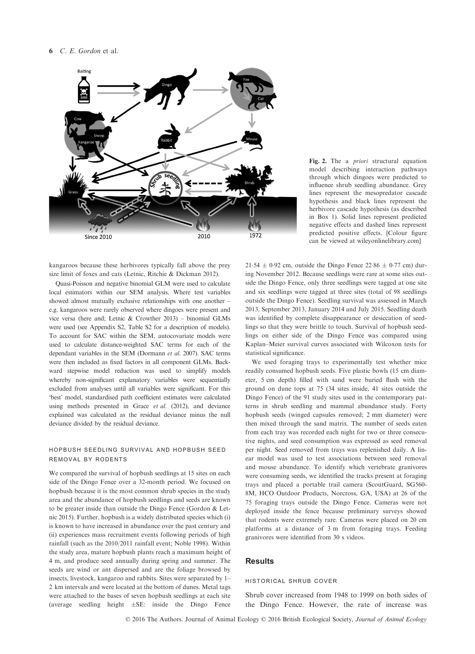

kangaroos because these herbivores typically fall above the prey size limit of foxes and cats (Letnic, Ritchie & Dickman 2012).

Quasi-Poisson and negative binomial GLM were used to calculate local estimators within our SEM analysis. Where test variables showed almost mutually exclusive relationships with one another – e.g. kangaroos were rarely observed where dingoes were present and vice versa (here and; Letnic & Crowther 2013) – binomial GLMs were used (see Appendix S2, Table S2 for a description of models). To account for SAC within the SEM, autocovariate models were used to calculate distance-weighted SAC terms for each of the dependant variables in the SEM (Dormann et al. 2007). SAC terms were then included as fixed factors in all component GLMs. Backward stepwise model reduction was used to simplify models whereby non-significant explanatory variables were sequentially excluded from analyses until all variables were significant. For this 'best' model, standardised path coefficient estimates were calculated using methods presented in Grace et al. (2012), and deviance explained was calculated as the residual deviance minus the null deviance divided by the residual deviance.

## hopbush seedling survival and hopbush seed removal by rodents

We compared the survival of hopbush seedlings at 15 sites on each side of the Dingo Fence over a 32-month period. We focused on hopbush because it is the most common shrub species in the study area and the abundance of hopbush seedlings and seeds are known to be greater inside than outside the Dingo Fence (Gordon & Letnic 2015). Further, hopbush is a widely distributed species which (i) is known to have increased in abundance over the past century and (ii) experiences mass recruitment events following periods of high rainfall (such as the 2010/2011 rainfall event; Noble 1998). Within the study area, mature hopbush plants reach a maximum height of 4 m, and produce seed annually during spring and summer. The seeds are wind or ant dispersed and are the foliage browsed by insects, livestock, kangaroo and rabbits. Sites were separated by 1– 2 km intervals and were located at the bottom of dunes. Metal tags were attached to the bases of seven hopbush seedlings at each site (average seedling height  $\pm$ SE: inside the Dingo Fence

Fig. 2. The a priori structural equation model describing interaction pathways through which dingoes were predicted to influence shrub seedling abundance. Grey lines represent the mesopredator cascade hypothesis and black lines represent the herbivore cascade hypothesis (as described in Box 1). Solid lines represent predicted negative effects and dashed lines represent predicted positive effects. [Colour figure can be viewed at wileyonlinelibrary.com]

 $21.54 \pm 0.92$  cm, outside the Dingo Fence  $22.86 \pm 0.77$  cm) during November 2012. Because seedlings were rare at some sites outside the Dingo Fence, only three seedlings were tagged at one site and six seedlings were tagged at three sites (total of 98 seedlings outside the Dingo Fence). Seedling survival was assessed in March 2013, September 2013, January 2014 and July 2015. Seedling death was identified by complete disappearance or desiccation of seedlings so that they were brittle to touch. Survival of hopbush seedlings on either side of the Dingo Fence was compared using Kaplan–Meier survival curves associated with Wilcoxon tests for statistical significance.

We used foraging trays to experimentally test whether mice readily consumed hopbush seeds. Five plastic bowls (15 cm diameter, 5 cm depth) filled with sand were buried flush with the ground on dune tops at 75 (34 sites inside, 41 sites outside the Dingo Fence) of the 91 study sites used in the contemporary patterns in shrub seedling and mammal abundance study. Forty hopbush seeds (winged capsules removed; 2 mm diameter) were then mixed through the sand matrix. The number of seeds eaten from each tray was recorded each night for two or three consecutive nights, and seed consumption was expressed as seed removal per night. Seed removed from trays was replenished daily. A linear model was used to test associations between seed removal and mouse abundance. To identify which vertebrate granivores were consuming seeds, we identified the tracks present at foraging trays and placed a portable trail camera (ScoutGuard, SG560- 8M, HCO Outdoor Products, Norcross, GA, USA) at 26 of the 75 foraging trays outside the Dingo Fence. Cameras were not deployed inside the fence because preliminary surveys showed that rodents were extremely rare. Cameras were placed on 20 cm platforms at a distance of 3 m from foraging trays. Feeding granivores were identified from 30 s videos.

## **Results**

#### historical shrub cover

Shrub cover increased from 1948 to 1999 on both sides of the Dingo Fence. However, the rate of increase was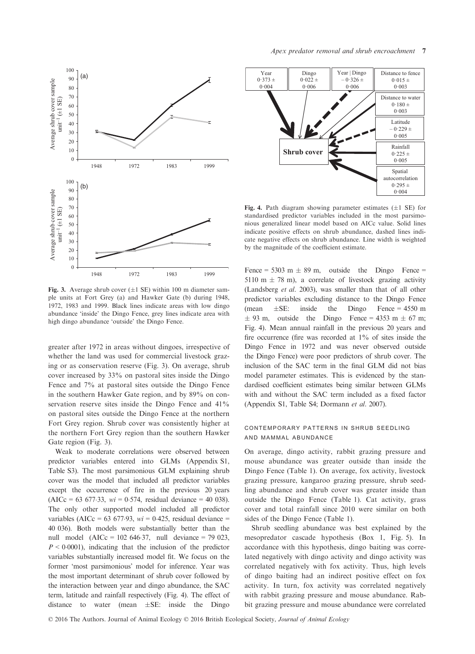

Fig. 3. Average shrub cover  $(\pm 1 \text{ SE})$  within 100 m diameter sample units at Fort Grey (a) and Hawker Gate (b) during 1948, 1972, 1983 and 1999. Black lines indicate areas with low dingo abundance 'inside' the Dingo Fence, grey lines indicate area with high dingo abundance 'outside' the Dingo Fence.

greater after 1972 in areas without dingoes, irrespective of whether the land was used for commercial livestock grazing or as conservation reserve (Fig. 3). On average, shrub cover increased by 33% on pastoral sites inside the Dingo Fence and 7% at pastoral sites outside the Dingo Fence in the southern Hawker Gate region, and by 89% on conservation reserve sites inside the Dingo Fence and 41% on pastoral sites outside the Dingo Fence at the northern Fort Grey region. Shrub cover was consistently higher at the northern Fort Grey region than the southern Hawker Gate region (Fig. 3).

Weak to moderate correlations were observed between predictor variables entered into GLMs (Appendix S1, Table S3). The most parsimonious GLM explaining shrub cover was the model that included all predictor variables except the occurrence of fire in the previous 20 years  $(AICc = 63 677.33, wi = 0.574, residual deviance = 40 038).$ The only other supported model included all predictor variables (AICc = 63 677.93,  $wi = 0.425$ , residual deviance = 40 036). Both models were substantially better than the null model  $(AICc = 102 646.37, null deviance = 79 023,$  $P \leq 0.0001$ , indicating that the inclusion of the predictor variables substantially increased model fit. We focus on the former 'most parsimonious' model for inference. Year was the most important determinant of shrub cover followed by the interaction between year and dingo abundance, the SAC term, latitude and rainfall respectively (Fig. 4). The effect of distance to water (mean  $\pm$ SE: inside the Dingo



Fig. 4. Path diagram showing parameter estimates  $(\pm 1 \text{ SE})$  for standardised predictor variables included in the most parsimonious generalized linear model based on AICc value. Solid lines indicate positive effects on shrub abundance, dashed lines indicate negative effects on shrub abundance. Line width is weighted by the magnitude of the coefficient estimate.

Fence = 5303 m  $\pm$  89 m, outside the Dingo Fence = 5110 m  $\pm$  78 m), a correlate of livestock grazing activity (Landsberg et al. 2003), was smaller than that of all other predictor variables excluding distance to the Dingo Fence (mean  $\pm$ SE: inside the Dingo Fence = 4550 m  $\pm$  93 m, outside the Dingo Fence = 4353 m  $\pm$  67 m; Fig. 4). Mean annual rainfall in the previous 20 years and fire occurrence (fire was recorded at 1% of sites inside the Dingo Fence in 1972 and was never observed outside the Dingo Fence) were poor predictors of shrub cover. The inclusion of the SAC term in the final GLM did not bias model parameter estimates. This is evidenced by the standardised coefficient estimates being similar between GLMs with and without the SAC term included as a fixed factor (Appendix S1, Table S4; Dormann et al. 2007).

## contemporary patterns in shrub seedling and mammal abundance

On average, dingo activity, rabbit grazing pressure and mouse abundance was greater outside than inside the Dingo Fence (Table 1). On average, fox activity, livestock grazing pressure, kangaroo grazing pressure, shrub seedling abundance and shrub cover was greater inside than outside the Dingo Fence (Table 1). Cat activity, grass cover and total rainfall since 2010 were similar on both sides of the Dingo Fence (Table 1).

Shrub seedling abundance was best explained by the mesopredator cascade hypothesis (Box 1, Fig. 5). In accordance with this hypothesis, dingo baiting was correlated negatively with dingo activity and dingo activity was correlated negatively with fox activity. Thus, high levels of dingo baiting had an indirect positive effect on fox activity. In turn, fox activity was correlated negatively with rabbit grazing pressure and mouse abundance. Rabbit grazing pressure and mouse abundance were correlated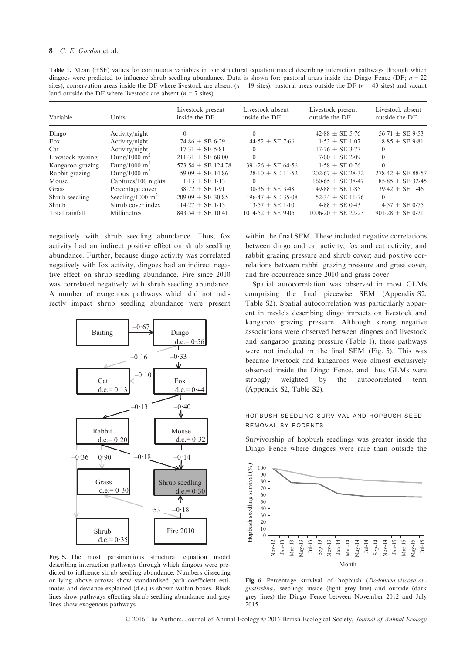Table 1. Mean  $(\pm S E)$  values for continuous variables in our structural equation model describing interaction pathways through which dingoes were predicted to influence shrub seedling abundance. Data is shown for: pastoral areas inside the Dingo Fence (DF;  $n = 22$ sites), conservation areas inside the DF where livestock are absent  $(n = 19$  sites), pastoral areas outside the DF  $(n = 43$  sites) and vacant land outside the DF where livestock are absent ( $n = 7$  sites)

| Variable          | <b>Units</b>        | Livestock present<br>inside the DF | Livestock absent<br>inside the DF | Livestock present<br>outside the DF | Livestock absent<br>outside the DF |
|-------------------|---------------------|------------------------------------|-----------------------------------|-------------------------------------|------------------------------------|
| Dingo             | Activity/night      | $\Omega$                           | $\theta$                          | $42.88 \pm SE 5.76$                 | $56.71 \pm SE$ 9.53                |
| Fox               | Activity/night      | $74.86 \pm SE 6.29$                | $44.52 \pm SE$ 7.66               | $1.53 + SE$ 1.07                    | $18.85 \pm SE 9.81$                |
| Cat               | Activity/night      | $17.31 \pm SE$ 5.81                | $\theta$                          | $17.76 \pm SE$ 3.77                 | $\left( \right)$                   |
| Livestock grazing | Dung/1000 $m^2$     | $211.31 \pm SE 68.00$              | $\Omega$                          | $7.00 + SE$ 2.09                    | $\Omega$                           |
| Kangaroo grazing  | Dung/1000 $m2$      | 573.54 $\pm$ SE 124.78             | $391.26 + SE$ 64.56               | $1.58 + SE$ 0.76                    | $\theta$                           |
| Rabbit grazing    | Dung/1000 $m2$      | $59.09 \pm SE$ 14.86               | $28.10 + SE$ 11.52                | $202.67 + SE$ 28.32                 | $278.42 \pm SE 88.57$              |
| Mouse             | Captures/100 nights | $1.13 + SE$ 1.13                   | $\Omega$                          | $160.65 + SE$ 38.47                 | $85.85 \pm SE 32.45$               |
| Grass             | Percentage cover    | $38.72 \pm SE$ 1.91                | $30.36 \pm SE$ 3.48               | $49.88 \pm SE 1.85$                 | $39.42 \pm SE$ 1.46                |
| Shrub seedling    | Seedling/1000 $m^2$ | $209.09 + SE$ 30.85                | $196.47 + SE$ 35.08               | $52.34 + SE$ 11.76                  | $\Omega$                           |
| Shrub             | Shrub cover index   | $14.27 + SE$ 1.13                  | $13.57 \pm SE 1.10$               | $4.88 \pm SE 0.43$                  | $4.57 \pm SE 0.75$                 |
| Total rainfall    | <b>Millimetres</b>  | $843.54 \pm SE$ 10.41              | $1014.52 + SE 9.05$               | $1006.20 + SE$ 22.23                | $901.28 \pm SE 0.71$               |

negatively with shrub seedling abundance. Thus, fox activity had an indirect positive effect on shrub seedling abundance. Further, because dingo activity was correlated negatively with fox activity, dingoes had an indirect negative effect on shrub seedling abundance. Fire since 2010 was correlated negatively with shrub seedling abundance. A number of exogenous pathways which did not indirectly impact shrub seedling abundance were present



Fig. 5. The most parsimonious structural equation model describing interaction pathways through which dingoes were predicted to influence shrub seedling abundance. Numbers dissecting or lying above arrows show standardised path coefficient estimates and deviance explained (d.e.) is shown within boxes. Black lines show pathways effecting shrub seedling abundance and grey lines show exogenous pathways.

within the final SEM. These included negative correlations between dingo and cat activity, fox and cat activity, and rabbit grazing pressure and shrub cover; and positive correlations between rabbit grazing pressure and grass cover, and fire occurrence since 2010 and grass cover.

Spatial autocorrelation was observed in most GLMs comprising the final piecewise SEM (Appendix S2, Table S2). Spatial autocorrelation was particularly apparent in models describing dingo impacts on livestock and kangaroo grazing pressure. Although strong negative associations were observed between dingoes and livestock and kangaroo grazing pressure (Table 1), these pathways were not included in the final SEM (Fig. 5). This was because livestock and kangaroos were almost exclusively observed inside the Dingo Fence, and thus GLMs were strongly weighted by the autocorrelated term (Appendix S2, Table S2).

## hopbush seedling survival and hopbush seed removal by rodents

Survivorship of hopbush seedlings was greater inside the Dingo Fence where dingoes were rare than outside the



Fig. 6. Percentage survival of hopbush (Dodonaea viscosa angustissima) seedlings inside (light grey line) and outside (dark grey lines) the Dingo Fence between November 2012 and July 2015.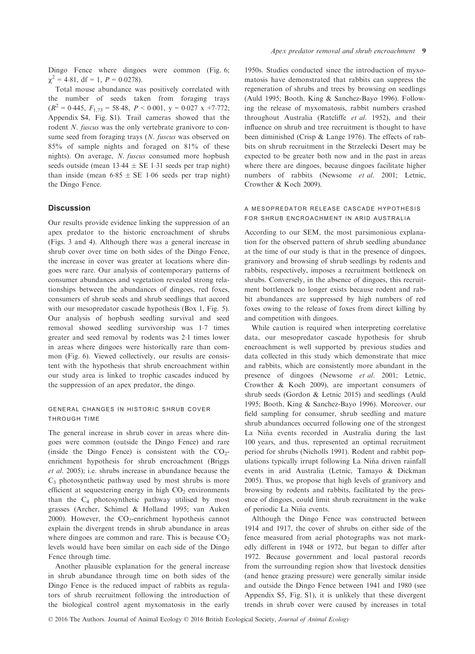Dingo Fence where dingoes were common (Fig. 6;  $\chi^2 = 4.81$ , df = 1,  $P = 0.0278$ ).

Total mouse abundance was positively correlated with the number of seeds taken from foraging trays  $(R^{2} = 0.445, F<sub>1.73</sub> = 58.48, P < 0.001, y = 0.027 \text{ x } +7.772;$ Appendix S4, Fig. S1). Trail cameras showed that the rodent *N. fuscus* was the only vertebrate granivore to consume seed from foraging trays (N. fuscus was observed on 85% of sample nights and foraged on 81% of these nights). On average, N. fuscus consumed more hopbush seeds outside (mean  $13.44 \pm SE$  1.31 seeds per trap night) than inside (mean  $6.85 \pm SE$  1.06 seeds per trap night) the Dingo Fence.

#### **Discussion**

Our results provide evidence linking the suppression of an apex predator to the historic encroachment of shrubs (Figs. 3 and 4). Although there was a general increase in shrub cover over time on both sides of the Dingo Fence, the increase in cover was greater at locations where dingoes were rare. Our analysis of contemporary patterns of consumer abundances and vegetation revealed strong relationships between the abundances of dingoes, red foxes, consumers of shrub seeds and shrub seedlings that accord with our mesopredator cascade hypothesis (Box 1, Fig. 5). Our analysis of hopbush seedling survival and seed removal showed seedling survivorship was 17 times greater and seed removal by rodents was 21 times lower in areas where dingoes were historically rare than common (Fig. 6). Viewed collectively, our results are consistent with the hypothesis that shrub encroachment within our study area is linked to trophic cascades induced by the suppression of an apex predator, the dingo.

#### general changes in historic shrub cover through time

The general increase in shrub cover in areas where dingoes were common (outside the Dingo Fence) and rare (inside the Dingo Fence) is consistent with the  $CO<sub>2</sub>$ enrichment hypothesis for shrub encroachment (Briggs et al. 2005); i.e. shrubs increase in abundance because the  $C_3$  photosynthetic pathway used by most shrubs is more efficient at sequestering energy in high  $CO<sub>2</sub>$  environments than the  $C_4$  photosynthetic pathway utilised by most grasses (Archer, Schimel & Holland 1995; van Auken 2000). However, the  $CO_2$ -enrichment hypothesis cannot explain the divergent trends in shrub abundance in areas where dingoes are common and rare. This is because  $CO<sub>2</sub>$ levels would have been similar on each side of the Dingo Fence through time.

Another plausible explanation for the general increase in shrub abundance through time on both sides of the Dingo Fence is the reduced impact of rabbits as regulators of shrub recruitment following the introduction of the biological control agent myxomatosis in the early

1950s. Studies conducted since the introduction of myxomatosis have demonstrated that rabbits can suppress the regeneration of shrubs and trees by browsing on seedlings (Auld 1995; Booth, King & Sanchez-Bayo 1996). Following the release of myxomatosis, rabbit numbers crashed throughout Australia (Ratcliffe et al. 1952), and their influence on shrub and tree recruitment is thought to have been diminished (Crisp & Lange 1976). The effects of rabbits on shrub recruitment in the Strzelecki Desert may be expected to be greater both now and in the past in areas where there are dingoes, because dingoes facilitate higher numbers of rabbits (Newsome et al. 2001; Letnic, Crowther & Koch 2009).

## a mesopredator release cascade hypothesis for shrub encroachment in arid australia

According to our SEM, the most parsimonious explanation for the observed pattern of shrub seedling abundance at the time of our study is that in the presence of dingoes, granivory and browsing of shrub seedlings by rodents and rabbits, respectively, imposes a recruitment bottleneck on shrubs. Conversely, in the absence of dingoes, this recruitment bottleneck no longer exists because rodent and rabbit abundances are suppressed by high numbers of red foxes owing to the release of foxes from direct killing by and competition with dingoes.

While caution is required when interpreting correlative data, our mesopredator cascade hypothesis for shrub encroachment is well supported by previous studies and data collected in this study which demonstrate that mice and rabbits, which are consistently more abundant in the presence of dingoes (Newsome et al. 2001; Letnic, Crowther & Koch 2009), are important consumers of shrub seeds (Gordon & Letnic 2015) and seedlings (Auld 1995; Booth, King & Sanchez-Bayo 1996). Moreover, our field sampling for consumer, shrub seedling and mature shrub abundances occurred following one of the strongest La Niña events recorded in Australia during the last 100 years, and thus, represented an optimal recruitment period for shrubs (Nicholls 1991). Rodent and rabbit populations typically irrupt following La Nina driven rainfall ~ events in arid Australia (Letnic, Tamayo & Dickman 2005). Thus, we propose that high levels of granivory and browsing by rodents and rabbits, facilitated by the presence of dingoes, could limit shrub recruitment in the wake of periodic La Niña events.

Although the Dingo Fence was constructed between 1914 and 1917, the cover of shrubs on either side of the fence measured from aerial photographs was not markedly different in 1948 or 1972, but began to differ after 1972. Because government and local pastoral records from the surrounding region show that livestock densities (and hence grazing pressure) were generally similar inside and outside the Dingo Fence between 1941 and 1980 (see Appendix S5, Fig. S1), it is unlikely that these divergent trends in shrub cover were caused by increases in total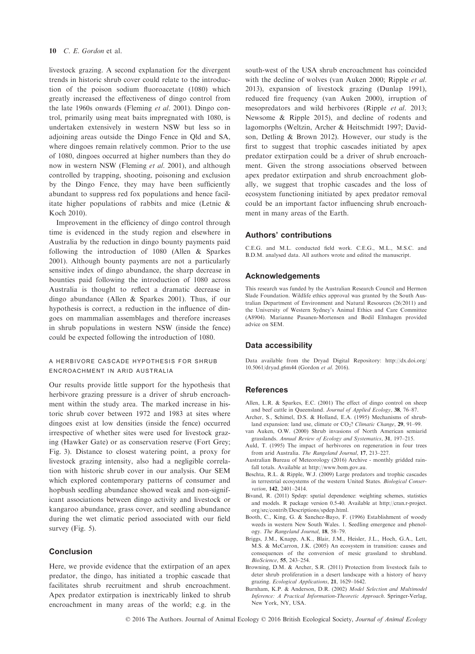livestock grazing. A second explanation for the divergent trends in historic shrub cover could relate to the introduction of the poison sodium fluoroacetate (1080) which greatly increased the effectiveness of dingo control from the late 1960s onwards (Fleming et al. 2001). Dingo control, primarily using meat baits impregnated with 1080, is undertaken extensively in western NSW but less so in adjoining areas outside the Dingo Fence in Qld and SA, where dingoes remain relatively common. Prior to the use of 1080, dingoes occurred at higher numbers than they do now in western NSW (Fleming et al. 2001), and although controlled by trapping, shooting, poisoning and exclusion by the Dingo Fence, they may have been sufficiently abundant to suppress red fox populations and hence facilitate higher populations of rabbits and mice (Letnic & Koch 2010).

Improvement in the efficiency of dingo control through time is evidenced in the study region and elsewhere in Australia by the reduction in dingo bounty payments paid following the introduction of 1080 (Allen & Sparkes 2001). Although bounty payments are not a particularly sensitive index of dingo abundance, the sharp decrease in bounties paid following the introduction of 1080 across Australia is thought to reflect a dramatic decrease in dingo abundance (Allen & Sparkes 2001). Thus, if our hypothesis is correct, a reduction in the influence of dingoes on mammalian assemblages and therefore increases in shrub populations in western NSW (inside the fence) could be expected following the introduction of 1080.

#### a herbivore cascade hypothesis for shrub encroachment in arid australia

Our results provide little support for the hypothesis that herbivore grazing pressure is a driver of shrub encroachment within the study area. The marked increase in historic shrub cover between 1972 and 1983 at sites where dingoes exist at low densities (inside the fence) occurred irrespective of whether sites were used for livestock grazing (Hawker Gate) or as conservation reserve (Fort Grey; Fig. 3). Distance to closest watering point, a proxy for livestock grazing intensity, also had a negligible correlation with historic shrub cover in our analysis. Our SEM which explored contemporary patterns of consumer and hopbush seedling abundance showed weak and non-significant associations between dingo activity and livestock or kangaroo abundance, grass cover, and seedling abundance during the wet climatic period associated with our field survey (Fig. 5).

#### Conclusion

Here, we provide evidence that the extirpation of an apex predator, the dingo, has initiated a trophic cascade that facilitates shrub recruitment and shrub encroachment. Apex predator extirpation is inextricably linked to shrub encroachment in many areas of the world; e.g. in the south-west of the USA shrub encroachment has coincided with the decline of wolves (van Auken 2000; Ripple et al. 2013), expansion of livestock grazing (Dunlap 1991), reduced fire frequency (van Auken 2000), irruption of mesopredators and wild herbivores (Ripple et al. 2013; Newsome & Ripple 2015), and decline of rodents and lagomorphs (Weltzin, Archer & Heitschmidt 1997; Davidson, Detling & Brown 2012). However, our study is the first to suggest that trophic cascades initiated by apex predator extirpation could be a driver of shrub encroachment. Given the strong associations observed between apex predator extirpation and shrub encroachment globally, we suggest that trophic cascades and the loss of ecosystem functioning initiated by apex predator removal could be an important factor influencing shrub encroachment in many areas of the Earth.

#### Authors' contributions

C.E.G. and M.L. conducted field work. C.E.G., M.L., M.S.C. and B.D.M. analysed data. All authors wrote and edited the manuscript.

#### Acknowledgements

This research was funded by the Australian Research Council and Hermon Slade Foundation. Wildlife ethics approval was granted by the South Australian Department of Environment and Natural Resources (26/2011) and the University of Western Sydney's Animal Ethics and Care Committee (A8904). Marianne Pasanen-Mortensen and Bodil Elmhagen provided advice on SEM.

#### Data accessibility

Data available from the Dryad Digital Repository: [http://dx.doi.org/](http://dx.doi.org/10.5061/dryad.g6m44) [10.5061/dryad.g6m44](http://dx.doi.org/10.5061/dryad.g6m44) (Gordon et al. 2016).

#### References

- Allen, L.R. & Sparkes, E.C. (2001) The effect of dingo control on sheep and beef cattle in Queensland. Journal of Applied Ecology, 38, 76–87.
- Archer, S., Schimel, D.S. & Holland, E.A. (1995) Mechanisms of shrubland expansion: land use, climate or CO<sub>2</sub>? Climatic Change, 29, 91-99.
- van Auken, O.W. (2000) Shrub invasions of North American semiarid grasslands. Annual Review of Ecology and Systematics, 31, 197–215.
- Auld, T. (1995) The impact of herbivores on regeneration in four trees from arid Australia. The Rangeland Journal, 17, 213–227.
- Australian Bureau of Meteorology (2016) Archive monthly gridded rainfall totals. Available at<http://www.bom.gov.au>.
- Beschta, R.L. & Ripple, W.J. (2009) Large predators and trophic cascades in terrestrial ecosystems of the western United States. Biological Conservation, 142, 2401–2414.
- Bivand, R. (2011) Spdep: spatial dependence: weighting schemes, statistics and models. R package version 0.5-40. Available at [http://cran.r-project.](http://cran.r-project.org/src/contrib/Descriptions/spdep.html) [org/src/contrib/Descriptions/spdep.html](http://cran.r-project.org/src/contrib/Descriptions/spdep.html).
- Booth, C., King, G. & Sanchez-Bayo, F. (1996) Establishment of woody weeds in western New South Wales. 1. Seedling emergence and phenology. The Rangeland Journal, 18, 58–79.
- Briggs, J.M., Knapp, A.K., Blair, J.M., Heisler, J.L., Hoch, G.A., Lett, M.S. & McCarron, J.K. (2005) An ecosystem in transition: causes and consequences of the conversion of mesic grassland to shrubland. BioScience, 55, 243–254.
- Browning, D.M. & Archer, S.R. (2011) Protection from livestock fails to deter shrub proliferation in a desert landscape with a history of heavy grazing. Ecological Applications, 21, 1629–1642.
- Burnham, K.P. & Anderson, D.R. (2002) Model Selection and Multimodel Inference: A Practical Information-Theoretic Approach. Springer-Verlag, New York, NY, USA.